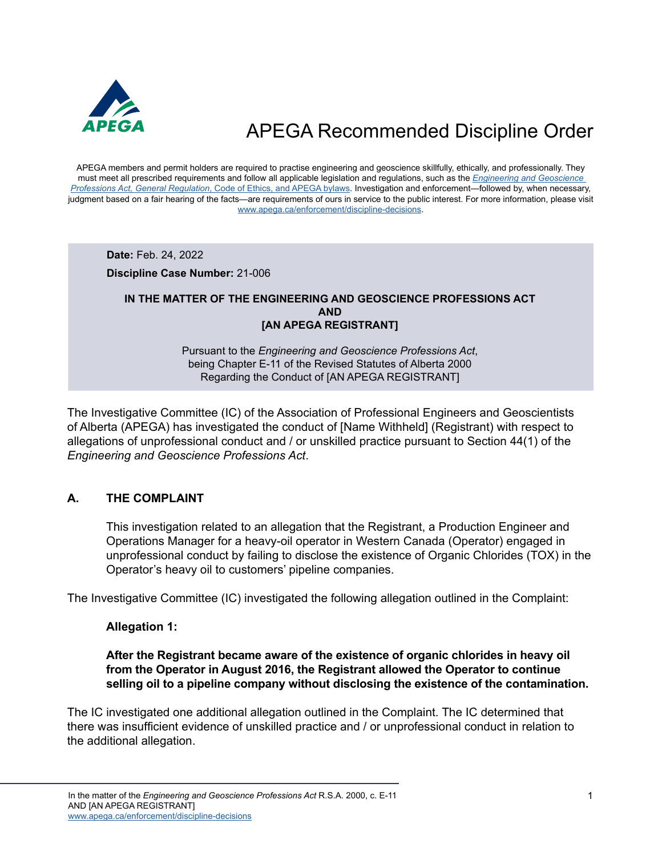

APEGA members and permit holders are required to practise engineering and geoscience skillfully, ethically, and professionally. They must meet all prescribed requirements and follow all applicable legislation and regulations, such as the *[Engineering and Geoscience](https://www.apega.ca/about-apega/publications/engineering-and-geoscience-professions-act)  Professions Act, General Regulation*[, Code of Ethics, and APEGA bylaws.](https://www.apega.ca/about-apega/publications/engineering-and-geoscience-professions-act) Investigation and enforcement—followed by, when necessary, judgment based on a fair hearing of the facts—are requirements of ours in service to the public interest. For more information, please visit [www.apega.ca/enforcement/discipline-decisions.](https://www.apega.ca/enforcement/discipline-decisions)

**Date:** Feb. 24, 2022

**Discipline Case Number:** 21-006

#### **IN THE MATTER OF THE ENGINEERING AND GEOSCIENCE PROFESSIONS ACT AND [AN APEGA REGISTRANT]**

Pursuant to the *Engineering and Geoscience Professions Act*, being Chapter E-11 of the Revised Statutes of Alberta 2000 Regarding the Conduct of [AN APEGA REGISTRANT]

The Investigative Committee (IC) of the Association of Professional Engineers and Geoscientists of Alberta (APEGA) has investigated the conduct of [Name Withheld] (Registrant) with respect to allegations of unprofessional conduct and / or unskilled practice pursuant to Section 44(1) of the *Engineering and Geoscience Professions Act*.

### **A. THE COMPLAINT**

This investigation related to an allegation that the Registrant, a Production Engineer and Operations Manager for a heavy-oil operator in Western Canada (Operator) engaged in unprofessional conduct by failing to disclose the existence of Organic Chlorides (TOX) in the Operator's heavy oil to customers' pipeline companies.

The Investigative Committee (IC) investigated the following allegation outlined in the Complaint:

#### **Allegation 1:**

#### **After the Registrant became aware of the existence of organic chlorides in heavy oil from the Operator in August 2016, the Registrant allowed the Operator to continue selling oil to a pipeline company without disclosing the existence of the contamination.**

The IC investigated one additional allegation outlined in the Complaint. The IC determined that there was insufficient evidence of unskilled practice and / or unprofessional conduct in relation to the additional allegation.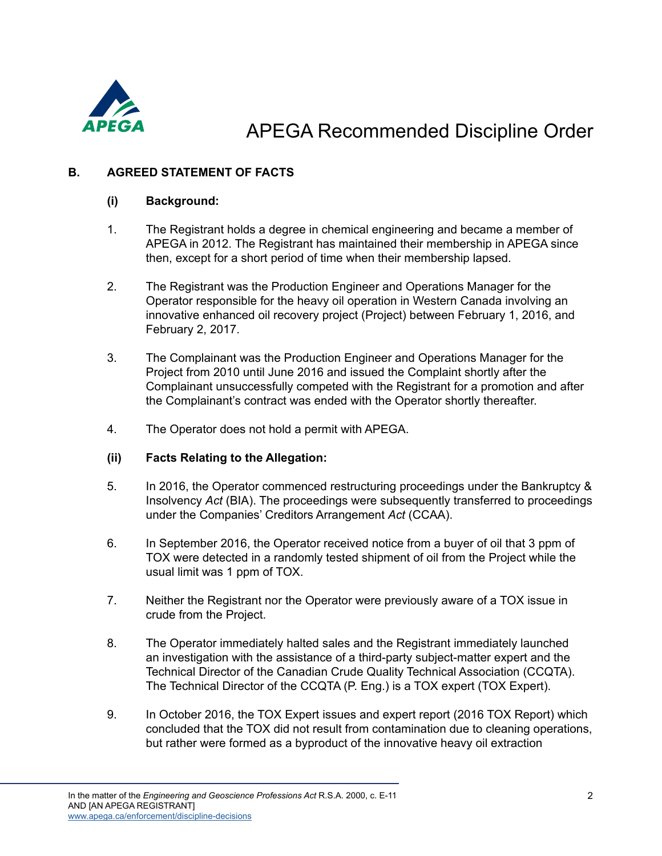

### **B. AGREED STATEMENT OF FACTS**

### **(i) Background:**

- 1. The Registrant holds a degree in chemical engineering and became a member of APEGA in 2012. The Registrant has maintained their membership in APEGA since then, except for a short period of time when their membership lapsed.
- 2. The Registrant was the Production Engineer and Operations Manager for the Operator responsible for the heavy oil operation in Western Canada involving an innovative enhanced oil recovery project (Project) between February 1, 2016, and February 2, 2017.
- 3. The Complainant was the Production Engineer and Operations Manager for the Project from 2010 until June 2016 and issued the Complaint shortly after the Complainant unsuccessfully competed with the Registrant for a promotion and after the Complainant's contract was ended with the Operator shortly thereafter.
- 4. The Operator does not hold a permit with APEGA.

#### **(ii) Facts Relating to the Allegation:**

- 5. In 2016, the Operator commenced restructuring proceedings under the Bankruptcy & Insolvency *Act* (BIA). The proceedings were subsequently transferred to proceedings under the Companies' Creditors Arrangement *Act* (CCAA).
- 6. In September 2016, the Operator received notice from a buyer of oil that 3 ppm of TOX were detected in a randomly tested shipment of oil from the Project while the usual limit was 1 ppm of TOX.
- 7. Neither the Registrant nor the Operator were previously aware of a TOX issue in crude from the Project.
- 8. The Operator immediately halted sales and the Registrant immediately launched an investigation with the assistance of a third-party subject-matter expert and the Technical Director of the Canadian Crude Quality Technical Association (CCQTA). The Technical Director of the CCQTA (P. Eng.) is a TOX expert (TOX Expert).
- 9. In October 2016, the TOX Expert issues and expert report (2016 TOX Report) which concluded that the TOX did not result from contamination due to cleaning operations, but rather were formed as a byproduct of the innovative heavy oil extraction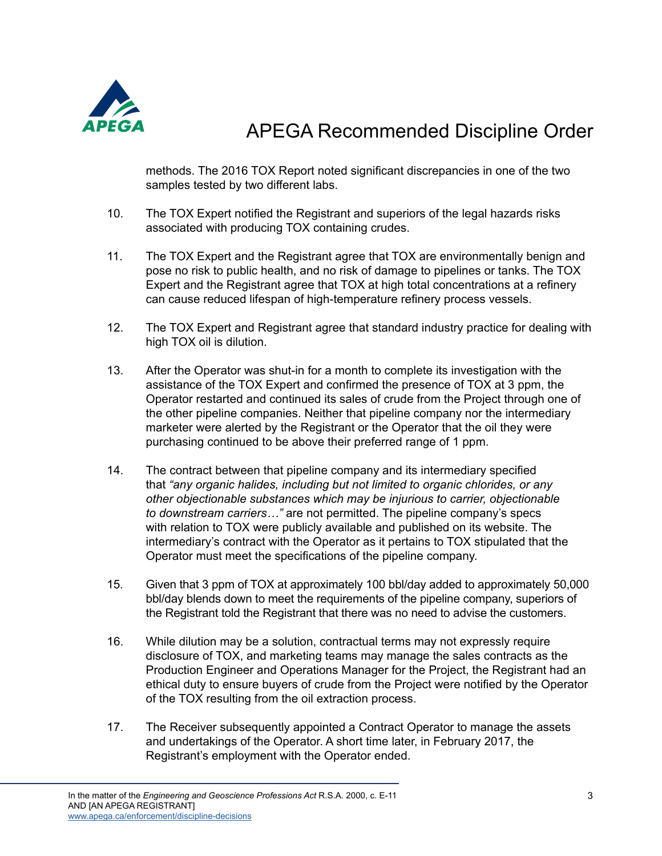

methods. The 2016 TOX Report noted significant discrepancies in one of the two samples tested by two different labs.

- 10. The TOX Expert notified the Registrant and superiors of the legal hazards risks associated with producing TOX containing crudes.
- 11. The TOX Expert and the Registrant agree that TOX are environmentally benign and pose no risk to public health, and no risk of damage to pipelines or tanks. The TOX Expert and the Registrant agree that TOX at high total concentrations at a refinery can cause reduced lifespan of high-temperature refinery process vessels.
- 12. The TOX Expert and Registrant agree that standard industry practice for dealing with high TOX oil is dilution.
- 13. After the Operator was shut-in for a month to complete its investigation with the assistance of the TOX Expert and confirmed the presence of TOX at 3 ppm, the Operator restarted and continued its sales of crude from the Project through one of the other pipeline companies. Neither that pipeline company nor the intermediary marketer were alerted by the Registrant or the Operator that the oil they were purchasing continued to be above their preferred range of 1 ppm.
- 14. The contract between that pipeline company and its intermediary specified that *"any organic halides, including but not limited to organic chlorides, or any other objectionable substances which may be injurious to carrier, objectionable to downstream carriers…"* are not permitted. The pipeline company's specs with relation to TOX were publicly available and published on its website. The intermediary's contract with the Operator as it pertains to TOX stipulated that the Operator must meet the specifications of the pipeline company.
- 15. Given that 3 ppm of TOX at approximately 100 bbl/day added to approximately 50,000 bbl/day blends down to meet the requirements of the pipeline company, superiors of the Registrant told the Registrant that there was no need to advise the customers.
- 16. While dilution may be a solution, contractual terms may not expressly require disclosure of TOX, and marketing teams may manage the sales contracts as the Production Engineer and Operations Manager for the Project, the Registrant had an ethical duty to ensure buyers of crude from the Project were notified by the Operator of the TOX resulting from the oil extraction process.
- 17. The Receiver subsequently appointed a Contract Operator to manage the assets and undertakings of the Operator. A short time later, in February 2017, the Registrant's employment with the Operator ended.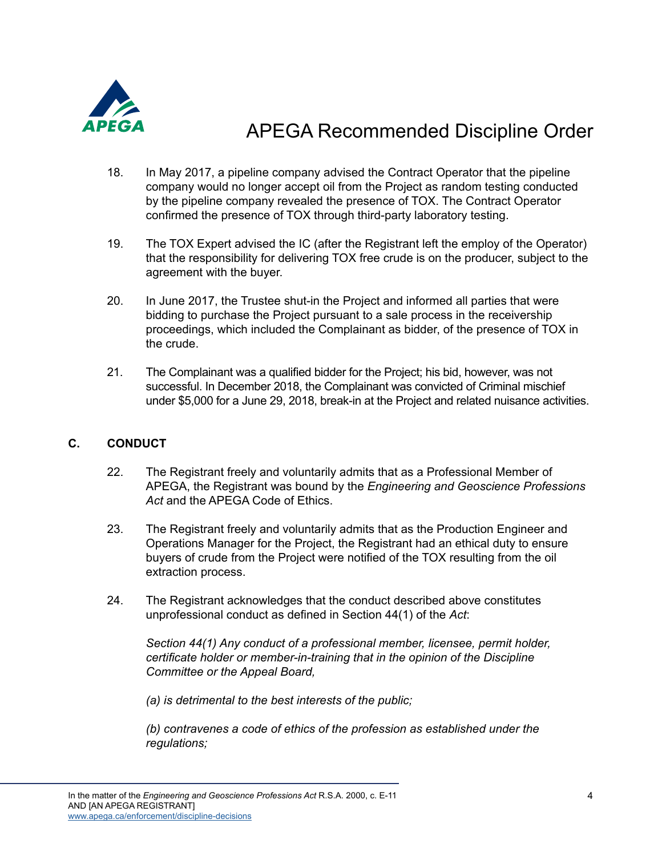

- 18. In May 2017, a pipeline company advised the Contract Operator that the pipeline company would no longer accept oil from the Project as random testing conducted by the pipeline company revealed the presence of TOX. The Contract Operator confirmed the presence of TOX through third-party laboratory testing.
- 19. The TOX Expert advised the IC (after the Registrant left the employ of the Operator) that the responsibility for delivering TOX free crude is on the producer, subject to the agreement with the buyer.
- 20. In June 2017, the Trustee shut-in the Project and informed all parties that were bidding to purchase the Project pursuant to a sale process in the receivership proceedings, which included the Complainant as bidder, of the presence of TOX in the crude.
- 21. The Complainant was a qualified bidder for the Project; his bid, however, was not successful. In December 2018, the Complainant was convicted of Criminal mischief under \$5,000 for a June 29, 2018, break-in at the Project and related nuisance activities.

### **C. CONDUCT**

- 22. The Registrant freely and voluntarily admits that as a Professional Member of APEGA, the Registrant was bound by the *Engineering and Geoscience Professions Act* and the APEGA Code of Ethics.
- 23. The Registrant freely and voluntarily admits that as the Production Engineer and Operations Manager for the Project, the Registrant had an ethical duty to ensure buyers of crude from the Project were notified of the TOX resulting from the oil extraction process.
- 24. The Registrant acknowledges that the conduct described above constitutes unprofessional conduct as defined in Section 44(1) of the *Act*:

*Section 44(1) Any conduct of a professional member, licensee, permit holder, certificate holder or member-in-training that in the opinion of the Discipline Committee or the Appeal Board,* 

 *(a) is detrimental to the best interests of the public;* 

 *(b) contravenes a code of ethics of the profession as established under the regulations;*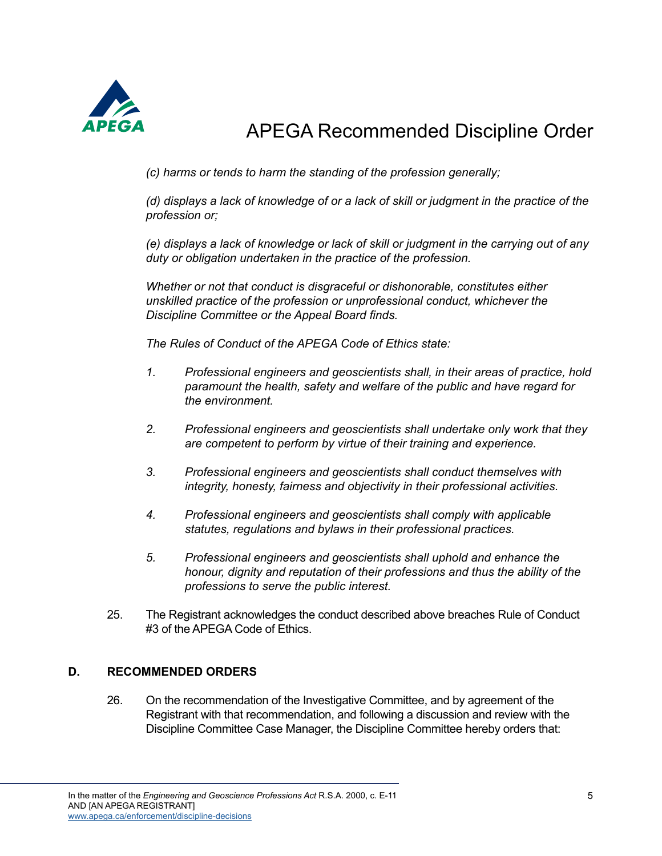

 *(c) harms or tends to harm the standing of the profession generally;* 

 *(d) displays a lack of knowledge of or a lack of skill or judgment in the practice of the profession or;* 

 *(e) displays a lack of knowledge or lack of skill or judgment in the carrying out of any duty or obligation undertaken in the practice of the profession.* 

 *Whether or not that conduct is disgraceful or dishonorable, constitutes either unskilled practice of the profession or unprofessional conduct, whichever the Discipline Committee or the Appeal Board finds.* 

*The Rules of Conduct of the APEGA Code of Ethics state:*

- *1. Professional engineers and geoscientists shall, in their areas of practice, hold paramount the health, safety and welfare of the public and have regard for the environment.*
- *2. Professional engineers and geoscientists shall undertake only work that they are competent to perform by virtue of their training and experience.*
- *3. Professional engineers and geoscientists shall conduct themselves with integrity, honesty, fairness and objectivity in their professional activities.*
- *4. Professional engineers and geoscientists shall comply with applicable statutes, regulations and bylaws in their professional practices.*
- *5. Professional engineers and geoscientists shall uphold and enhance the honour, dignity and reputation of their professions and thus the ability of the professions to serve the public interest.*
- 25. The Registrant acknowledges the conduct described above breaches Rule of Conduct #3 of the APEGA Code of Ethics.

#### **D. RECOMMENDED ORDERS**

26. On the recommendation of the Investigative Committee, and by agreement of the Registrant with that recommendation, and following a discussion and review with the Discipline Committee Case Manager, the Discipline Committee hereby orders that: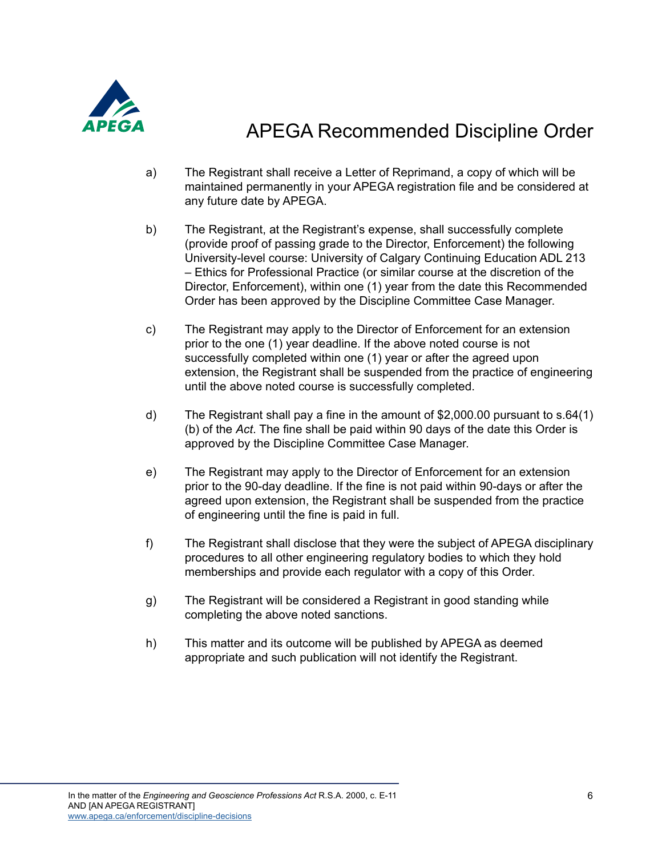

- a) The Registrant shall receive a Letter of Reprimand, a copy of which will be maintained permanently in your APEGA registration file and be considered at any future date by APEGA.
- b) The Registrant, at the Registrant's expense, shall successfully complete (provide proof of passing grade to the Director, Enforcement) the following University-level course: University of Calgary Continuing Education ADL 213 – Ethics for Professional Practice (or similar course at the discretion of the Director, Enforcement), within one (1) year from the date this Recommended Order has been approved by the Discipline Committee Case Manager.
- c) The Registrant may apply to the Director of Enforcement for an extension prior to the one (1) year deadline. If the above noted course is not successfully completed within one (1) year or after the agreed upon extension, the Registrant shall be suspended from the practice of engineering until the above noted course is successfully completed.
- d) The Registrant shall pay a fine in the amount of \$2,000.00 pursuant to s.64(1) (b) of the *Act*. The fine shall be paid within 90 days of the date this Order is approved by the Discipline Committee Case Manager.
- e) The Registrant may apply to the Director of Enforcement for an extension prior to the 90-day deadline. If the fine is not paid within 90-days or after the agreed upon extension, the Registrant shall be suspended from the practice of engineering until the fine is paid in full.
- f) The Registrant shall disclose that they were the subject of APEGA disciplinary procedures to all other engineering regulatory bodies to which they hold memberships and provide each regulator with a copy of this Order.
- g) The Registrant will be considered a Registrant in good standing while completing the above noted sanctions.
- h) This matter and its outcome will be published by APEGA as deemed appropriate and such publication will not identify the Registrant.